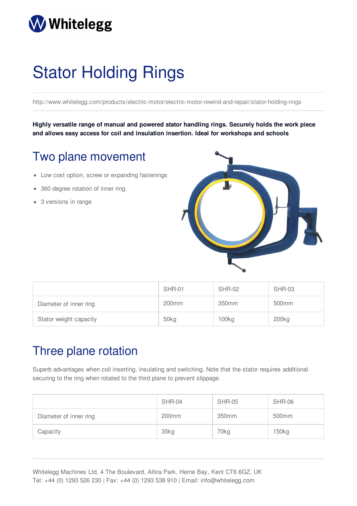## **Whitelegg**

# Stator Holding Rings

http://www.whitelegg.com/products/electric-motor/electric-motor-rewind-and-repair/stator-holding-rings

**Highly versatile range of manual and powered stator handling rings. Securely holds the work piece and allows easy access for coil and insulation insertion. Ideal for workshops and schools**

#### Two plane movement

- Low cost option, screw or expanding fastenings
- 360 degree rotation of inner ring
- 3 versions in range



|                        | <b>SHR-01</b>     | <b>SHR-02</b>     | SHR-03            |
|------------------------|-------------------|-------------------|-------------------|
| Diameter of inner ring | 200 <sub>mm</sub> | 350mm             | 500 <sub>mm</sub> |
| Stator weight capacity | 50kg              | 100 <sub>kg</sub> | 200 <sub>kg</sub> |

#### Three plane rotation

Superb advantages when coil inserting, insulating and switching. Note that the stator requires additional securing to the ring when rotated to the third plane to prevent slippage.

|                        | <b>SHR-04</b>     | <b>SHR-05</b> | <b>SHR-06</b>     |
|------------------------|-------------------|---------------|-------------------|
| Diameter of inner ring | 200 <sub>mm</sub> | 350mm         | 500 <sub>mm</sub> |
| Capacity               | 35kg              | 70kg          | 150 <sub>kg</sub> |

Whitelegg Machines Ltd, 4 The Boulevard, Altira Park, Herne Bay, Kent CT6 6GZ, UK Tel: +44 (0) 1293 526 230 | Fax: +44 (0) 1293 538 910 | Email: info@whitelegg.com